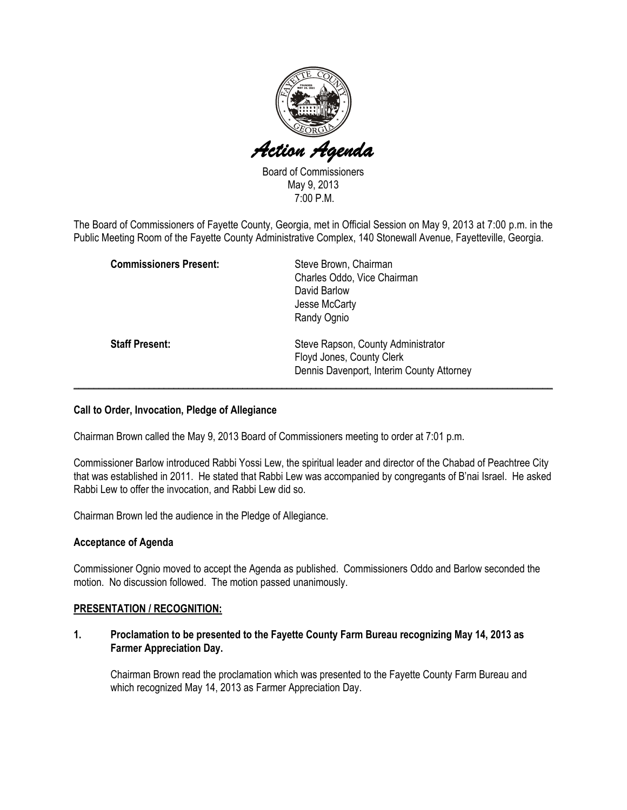

Board of Commissioners May 9, 2013 7:00 P.M.

The Board of Commissioners of Fayette County, Georgia, met in Official Session on May 9, 2013 at 7:00 p.m. in the Public Meeting Room of the Fayette County Administrative Complex, 140 Stonewall Avenue, Fayetteville, Georgia.

| <b>Commissioners Present:</b> | Steve Brown, Chairman<br>Charles Oddo, Vice Chairman<br>David Barlow<br>Jesse McCarty                        |
|-------------------------------|--------------------------------------------------------------------------------------------------------------|
|                               | Randy Ognio                                                                                                  |
| <b>Staff Present:</b>         | Steve Rapson, County Administrator<br>Floyd Jones, County Clerk<br>Dennis Davenport, Interim County Attorney |

## Call to Order, Invocation, Pledge of Allegiance

Chairman Brown called the May 9, 2013 Board of Commissioners meeting to order at 7:01 p.m.

Commissioner Barlow introduced Rabbi Yossi Lew, the spiritual leader and director of the Chabad of Peachtree City that was established in 2011. He stated that Rabbi Lew was accompanied by congregants of B'nai Israel. He asked Rabbi Lew to offer the invocation, and Rabbi Lew did so.

Chairman Brown led the audience in the Pledge of Allegiance.

## Acceptance of Agenda

Commissioner Ognio moved to accept the Agenda as published. Commissioners Oddo and Barlow seconded the motion. No discussion followed. The motion passed unanimously.

## PRESENTATION / RECOGNITION:

1. Proclamation to be presented to the Fayette County Farm Bureau recognizing May 14, 2013 as Farmer Appreciation Day.

Chairman Brown read the proclamation which was presented to the Fayette County Farm Bureau and which recognized May 14, 2013 as Farmer Appreciation Day.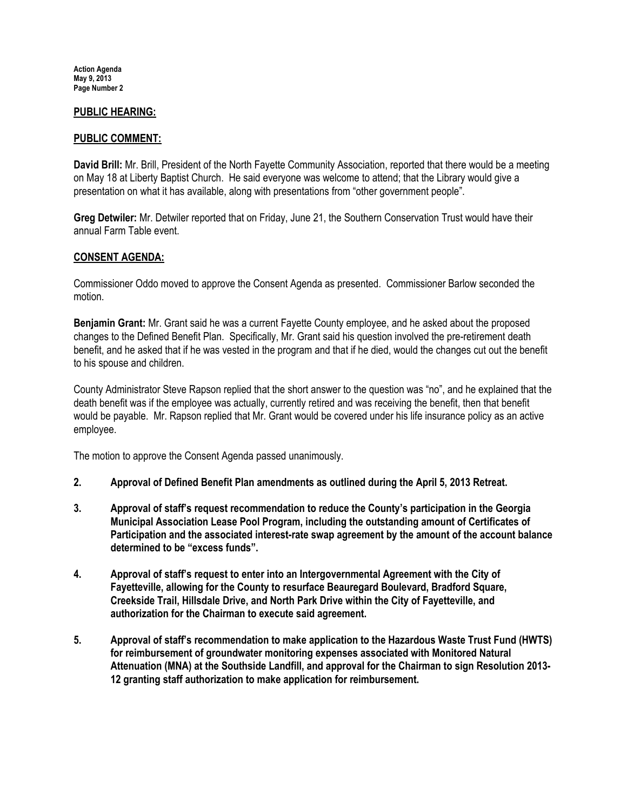## PUBLIC HEARING:

## PUBLIC COMMENT:

David Brill: Mr. Brill, President of the North Fayette Community Association, reported that there would be a meeting on May 18 at Liberty Baptist Church. He said everyone was welcome to attend; that the Library would give a presentation on what it has available, along with presentations from "other government people".

Greg Detwiler: Mr. Detwiler reported that on Friday, June 21, the Southern Conservation Trust would have their annual Farm Table event.

## CONSENT AGENDA:

Commissioner Oddo moved to approve the Consent Agenda as presented. Commissioner Barlow seconded the motion.

Benjamin Grant: Mr. Grant said he was a current Fayette County employee, and he asked about the proposed changes to the Defined Benefit Plan. Specifically, Mr. Grant said his question involved the pre-retirement death benefit, and he asked that if he was vested in the program and that if he died, would the changes cut out the benefit to his spouse and children.

County Administrator Steve Rapson replied that the short answer to the question was "no", and he explained that the death benefit was if the employee was actually, currently retired and was receiving the benefit, then that benefit would be payable. Mr. Rapson replied that Mr. Grant would be covered under his life insurance policy as an active employee.

The motion to approve the Consent Agenda passed unanimously.

- 2. 2. Approval of Defined Benefit Plan amendments as outlined during the April 5, 2013 Retreat.
- 3. Approval of staff's request recommendation to reduce the County's participation in the Georgia Municipal Association Lease Pool Program, including the outstanding amount of Certificates of Participation and the associated interest-rate swap agreement by the amount of the account balance determined to be "excess funds".
- 4. Approval of staff's request to enter into an Intergovernmental Agreement with the City of Fayetteville, allowing for the County to resurface Beauregard Boulevard, Bradford Square, Creekside Trail, Hillsdale Drive, and North Park Drive within the City of Fayetteville, and authorization for the Chairman to execute said agreement.
- 5. Approval of staff's recommendation to make application to the Hazardous Waste Trust Fund (HWTS) for reimbursement of groundwater monitoring expenses associated with Monitored Natural Attenuation (MNA) at the Southside Landfill, and approval for the Chairman to sign Resolution 2013- 12 granting staff authorization to make application for reimbursement.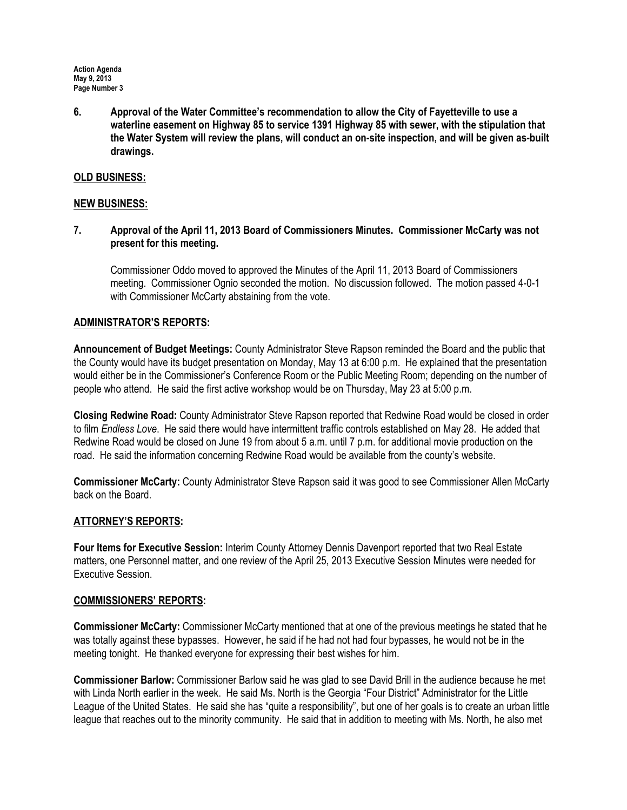6. Approval of the Water Committee's recommendation to allow the City of Fayetteville to use a waterline easement on Highway 85 to service 1391 Highway 85 with sewer, with the stipulation that the Water System will review the plans, will conduct an on-site inspection, and will be given as-built drawings.

## OLD BUSINESS:

### NEW BUSINESS:

7. Approval of the April 11, 2013 Board of Commissioners Minutes. Commissioner McCarty was not present for this meeting.

Commissioner Oddo moved to approved the Minutes of the April 11, 2013 Board of Commissioners meeting. Commissioner Ognio seconded the motion. No discussion followed. The motion passed 4-0-1 with Commissioner McCarty abstaining from the vote.

## ADMINISTRATOR'S REPORTS:

Announcement of Budget Meetings: County Administrator Steve Rapson reminded the Board and the public that the County would have its budget presentation on Monday, May 13 at 6:00 p.m. He explained that the presentation would either be in the Commissioner's Conference Room or the Public Meeting Room; depending on the number of people who attend. He said the first active workshop would be on Thursday, May 23 at 5:00 p.m.

Closing Redwine Road: County Administrator Steve Rapson reported that Redwine Road would be closed in order to film Endless Love. He said there would have intermittent traffic controls established on May 28. He added that Redwine Road would be closed on June 19 from about 5 a.m. until 7 p.m. for additional movie production on the road. He said the information concerning Redwine Road would be available from the county's website.

Commissioner McCarty: County Administrator Steve Rapson said it was good to see Commissioner Allen McCarty back on the Board.

## ATTORNEY'S REPORTS:

Four Items for Executive Session: Interim County Attorney Dennis Davenport reported that two Real Estate matters, one Personnel matter, and one review of the April 25, 2013 Executive Session Minutes were needed for Executive Session.

#### COMMISSIONERS' REPORTS:

Commissioner McCarty: Commissioner McCarty mentioned that at one of the previous meetings he stated that he was totally against these bypasses. However, he said if he had not had four bypasses, he would not be in the meeting tonight. He thanked everyone for expressing their best wishes for him.

Commissioner Barlow: Commissioner Barlow said he was glad to see David Brill in the audience because he met with Linda North earlier in the week. He said Ms. North is the Georgia "Four District" Administrator for the Little League of the United States. He said she has "quite a responsibility", but one of her goals is to create an urban little league that reaches out to the minority community. He said that in addition to meeting with Ms. North, he also met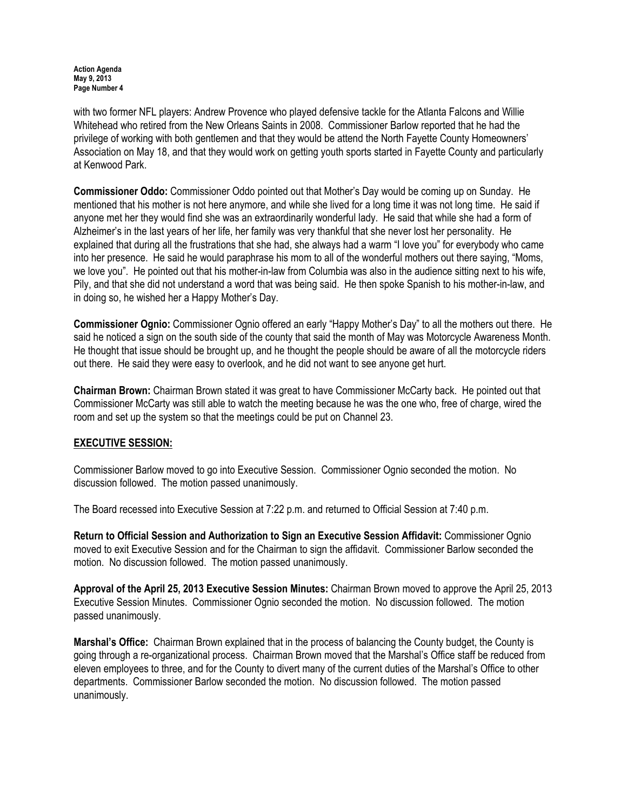with two former NFL players: Andrew Provence who played defensive tackle for the Atlanta Falcons and Willie Whitehead who retired from the New Orleans Saints in 2008. Commissioner Barlow reported that he had the privilege of working with both gentlemen and that they would be attend the North Fayette County Homeowners' Association on May 18, and that they would work on getting youth sports started in Fayette County and particularly at Kenwood Park.

Commissioner Oddo: Commissioner Oddo pointed out that Mother's Day would be coming up on Sunday. He mentioned that his mother is not here anymore, and while she lived for a long time it was not long time. He said if anyone met her they would find she was an extraordinarily wonderful lady. He said that while she had a form of Alzheimer's in the last years of her life, her family was very thankful that she never lost her personality. He explained that during all the frustrations that she had, she always had a warm "I love you" for everybody who came into her presence. He said he would paraphrase his mom to all of the wonderful mothers out there saying, "Moms, we love you". He pointed out that his mother-in-law from Columbia was also in the audience sitting next to his wife, Pily, and that she did not understand a word that was being said. He then spoke Spanish to his mother-in-law, and in doing so, he wished her a Happy Mother's Day.

Commissioner Ognio: Commissioner Ognio offered an early "Happy Mother's Day" to all the mothers out there. He said he noticed a sign on the south side of the county that said the month of May was Motorcycle Awareness Month. He thought that issue should be brought up, and he thought the people should be aware of all the motorcycle riders out there. He said they were easy to overlook, and he did not want to see anyone get hurt.

Chairman Brown: Chairman Brown stated it was great to have Commissioner McCarty back. He pointed out that Commissioner McCarty was still able to watch the meeting because he was the one who, free of charge, wired the room and set up the system so that the meetings could be put on Channel 23.

# EXECUTIVE SESSION:

Commissioner Barlow moved to go into Executive Session. Commissioner Ognio seconded the motion. No discussion followed. The motion passed unanimously.

The Board recessed into Executive Session at 7:22 p.m. and returned to Official Session at 7:40 p.m.

Return to Official Session and Authorization to Sign an Executive Session Affidavit: Commissioner Ognio moved to exit Executive Session and for the Chairman to sign the affidavit. Commissioner Barlow seconded the motion. No discussion followed. The motion passed unanimously.

Approval of the April 25, 2013 Executive Session Minutes: Chairman Brown moved to approve the April 25, 2013 Executive Session Minutes. Commissioner Ognio seconded the motion. No discussion followed. The motion passed unanimously.

Marshal's Office: Chairman Brown explained that in the process of balancing the County budget, the County is going through a re-organizational process. Chairman Brown moved that the Marshal's Office staff be reduced from eleven employees to three, and for the County to divert many of the current duties of the Marshal's Office to other departments. Commissioner Barlow seconded the motion. No discussion followed. The motion passed unanimously.